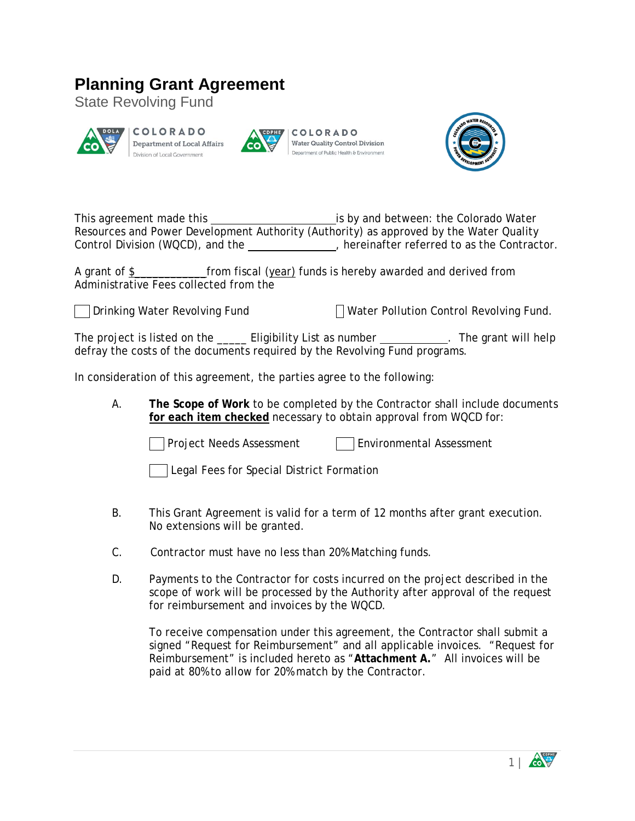## **Planning Grant Agreement**

State Revolving Fund



COLORADO **Department of Local Affairs** Division of Local Government



COLORADO **Water Quality Control Division** Department of Public Health & Environment



This agreement made this is by and between: the Colorado Water Resources and Power Development Authority (Authority) as approved by the Water Quality Control Division (WQCD), and the , hereinafter referred to as the Contractor.

A grant of \$\_\_\_\_\_\_\_\_\_\_\_\_from fiscal (year) funds is hereby awarded and derived from Administrative Fees collected from the

Drinking Water Revolving Fund Water Pollution Control Revolving Fund.

The project is listed on the **Eligibility List as number** . The grant will help defray the costs of the documents required by the Revolving Fund programs.

In consideration of this agreement, the parties agree to the following:

A. **The Scope of Work** to be completed by the Contractor shall include documents **for each item checked** necessary to obtain approval from WQCD for:

**Project Needs Assessment Environmental Assessment** 

|  |  |  | Legal Fees for Special District Formation |  |
|--|--|--|-------------------------------------------|--|
|  |  |  |                                           |  |

- B. This Grant Agreement is valid for a term of 12 months after grant execution. No extensions will be granted.
- C. Contractor must have no less than 20% Matching funds.
- D. Payments to the Contractor for costs incurred on the project described in the scope of work will be processed by the Authority after approval of the request for reimbursement and invoices by the WQCD.

To receive compensation under this agreement, the Contractor shall submit a signed "Request for Reimbursement" and all applicable invoices. "Request for Reimbursement" is included hereto as "**Attachment A.**" All invoices will be paid at 80% to allow for 20% match by the Contractor.